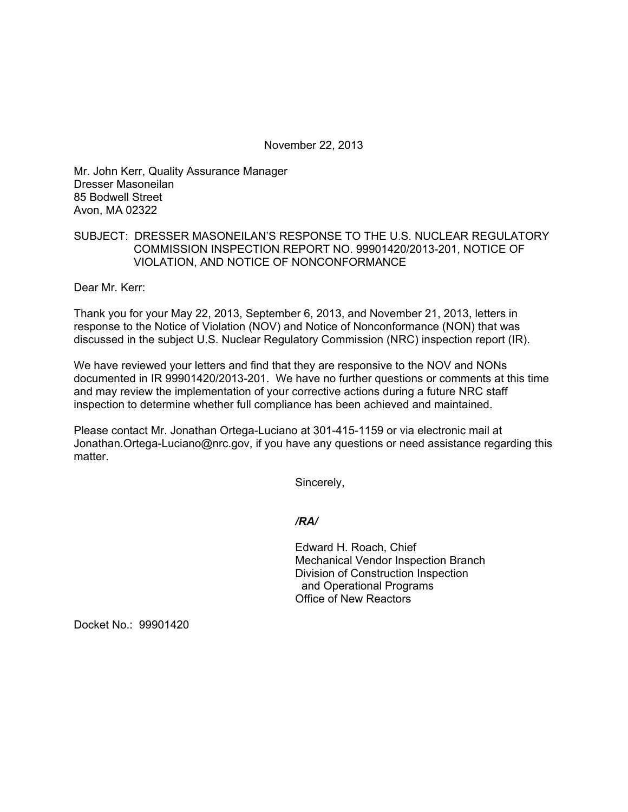November 22, 2013

Mr. John Kerr, Quality Assurance Manager Dresser Masoneilan 85 Bodwell Street Avon, MA 02322

## SUBJECT: DRESSER MASONEILAN'S RESPONSE TO THE U.S. NUCLEAR REGULATORY COMMISSION INSPECTION REPORT NO. 99901420/2013-201, NOTICE OF VIOLATION, AND NOTICE OF NONCONFORMANCE

Dear Mr. Kerr:

Thank you for your May 22, 2013, September 6, 2013, and November 21, 2013, letters in response to the Notice of Violation (NOV) and Notice of Nonconformance (NON) that was discussed in the subject U.S. Nuclear Regulatory Commission (NRC) inspection report (IR).

We have reviewed your letters and find that they are responsive to the NOV and NONs documented in IR 99901420/2013-201. We have no further questions or comments at this time and may review the implementation of your corrective actions during a future NRC staff inspection to determine whether full compliance has been achieved and maintained.

Please contact Mr. Jonathan Ortega-Luciano at 301-415-1159 or via electronic mail at Jonathan.Ortega-Luciano@nrc.gov, if you have any questions or need assistance regarding this matter.

Sincerely,

*/RA/* 

Edward H. Roach, Chief Mechanical Vendor Inspection Branch Division of Construction Inspection and Operational Programs Office of New Reactors

Docket No.: 99901420